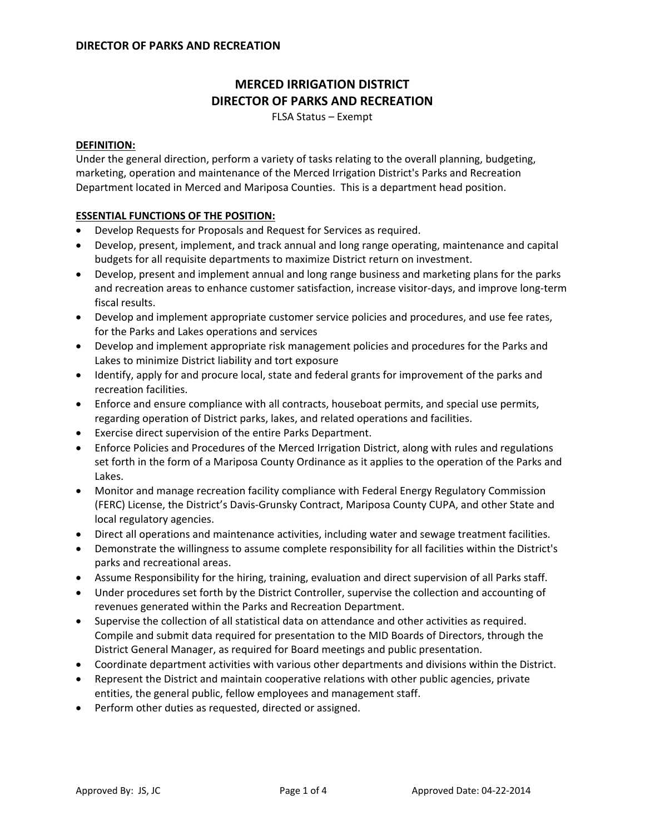# **MERCED IRRIGATION DISTRICT DIRECTOR OF PARKS AND RECREATION**

FLSA Status – Exempt

## **DEFINITION:**

Under the general direction, perform a variety of tasks relating to the overall planning, budgeting, marketing, operation and maintenance of the Merced Irrigation District's Parks and Recreation Department located in Merced and Mariposa Counties. This is a department head position.

## **ESSENTIAL FUNCTIONS OF THE POSITION:**

- Develop Requests for Proposals and Request for Services as required.
- Develop, present, implement, and track annual and long range operating, maintenance and capital budgets for all requisite departments to maximize District return on investment.
- Develop, present and implement annual and long range business and marketing plans for the parks and recreation areas to enhance customer satisfaction, increase visitor-days, and improve long-term fiscal results.
- Develop and implement appropriate customer service policies and procedures, and use fee rates, for the Parks and Lakes operations and services
- Develop and implement appropriate risk management policies and procedures for the Parks and Lakes to minimize District liability and tort exposure
- Identify, apply for and procure local, state and federal grants for improvement of the parks and recreation facilities.
- Enforce and ensure compliance with all contracts, houseboat permits, and special use permits, regarding operation of District parks, lakes, and related operations and facilities.
- Exercise direct supervision of the entire Parks Department.
- Enforce Policies and Procedures of the Merced Irrigation District, along with rules and regulations set forth in the form of a Mariposa County Ordinance as it applies to the operation of the Parks and Lakes.
- Monitor and manage recreation facility compliance with Federal Energy Regulatory Commission (FERC) License, the District's Davis‐Grunsky Contract, Mariposa County CUPA, and other State and local regulatory agencies.
- Direct all operations and maintenance activities, including water and sewage treatment facilities.
- Demonstrate the willingness to assume complete responsibility for all facilities within the District's parks and recreational areas.
- Assume Responsibility for the hiring, training, evaluation and direct supervision of all Parks staff.
- Under procedures set forth by the District Controller, supervise the collection and accounting of revenues generated within the Parks and Recreation Department.
- Supervise the collection of all statistical data on attendance and other activities as required. Compile and submit data required for presentation to the MID Boards of Directors, through the District General Manager, as required for Board meetings and public presentation.
- Coordinate department activities with various other departments and divisions within the District.
- Represent the District and maintain cooperative relations with other public agencies, private entities, the general public, fellow employees and management staff.
- Perform other duties as requested, directed or assigned.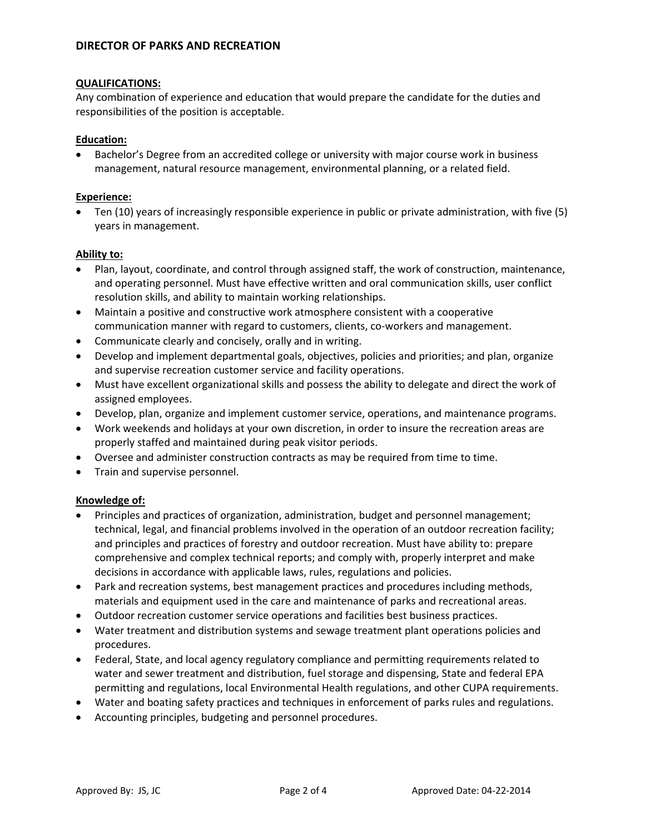## **QUALIFICATIONS:**

Any combination of experience and education that would prepare the candidate for the duties and responsibilities of the position is acceptable.

## **Education:**

• Bachelor's Degree from an accredited college or university with major course work in business management, natural resource management, environmental planning, or a related field.

## **Experience:**

• Ten (10) years of increasingly responsible experience in public or private administration, with five (5) years in management.

## **Ability to:**

- Plan, layout, coordinate, and control through assigned staff, the work of construction, maintenance, and operating personnel. Must have effective written and oral communication skills, user conflict resolution skills, and ability to maintain working relationships.
- Maintain a positive and constructive work atmosphere consistent with a cooperative communication manner with regard to customers, clients, co-workers and management.
- Communicate clearly and concisely, orally and in writing.
- Develop and implement departmental goals, objectives, policies and priorities; and plan, organize and supervise recreation customer service and facility operations.
- Must have excellent organizational skills and possess the ability to delegate and direct the work of assigned employees.
- Develop, plan, organize and implement customer service, operations, and maintenance programs.
- Work weekends and holidays at your own discretion, in order to insure the recreation areas are properly staffed and maintained during peak visitor periods.
- Oversee and administer construction contracts as may be required from time to time.
- Train and supervise personnel.

### **Knowledge of:**

- Principles and practices of organization, administration, budget and personnel management; technical, legal, and financial problems involved in the operation of an outdoor recreation facility; and principles and practices of forestry and outdoor recreation. Must have ability to: prepare comprehensive and complex technical reports; and comply with, properly interpret and make decisions in accordance with applicable laws, rules, regulations and policies.
- Park and recreation systems, best management practices and procedures including methods, materials and equipment used in the care and maintenance of parks and recreational areas.
- Outdoor recreation customer service operations and facilities best business practices.
- Water treatment and distribution systems and sewage treatment plant operations policies and procedures.
- Federal, State, and local agency regulatory compliance and permitting requirements related to water and sewer treatment and distribution, fuel storage and dispensing, State and federal EPA permitting and regulations, local Environmental Health regulations, and other CUPA requirements.
- Water and boating safety practices and techniques in enforcement of parks rules and regulations.
- Accounting principles, budgeting and personnel procedures.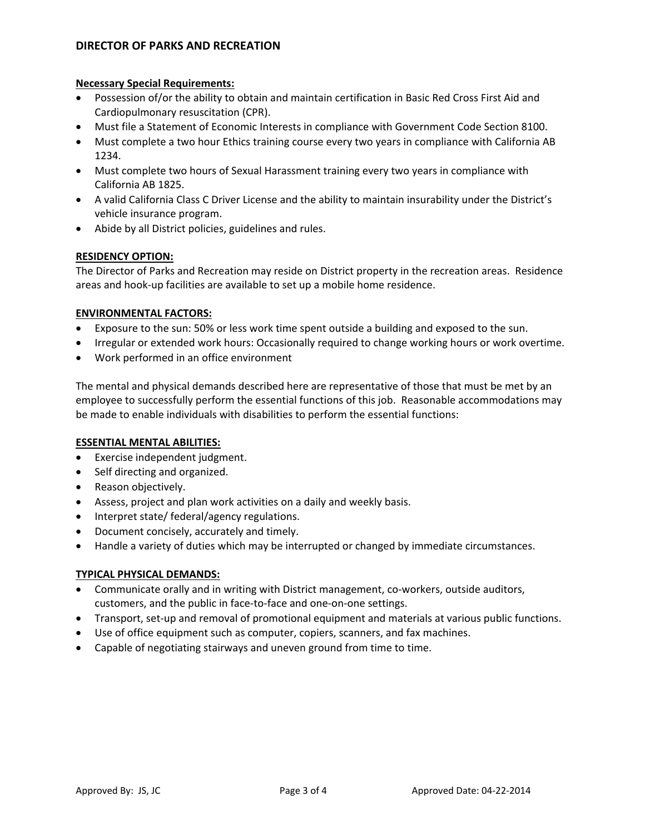# **DIRECTOR OF PARKS AND RECREATION**

## **Necessary Special Requirements:**

- Possession of/or the ability to obtain and maintain certification in Basic Red Cross First Aid and Cardiopulmonary resuscitation (CPR).
- Must file a Statement of Economic Interests in compliance with Government Code Section 8100.
- Must complete a two hour Ethics training course every two years in compliance with California AB 1234.
- Must complete two hours of Sexual Harassment training every two years in compliance with California AB 1825.
- A valid California Class C Driver License and the ability to maintain insurability under the District's vehicle insurance program.
- Abide by all District policies, guidelines and rules.

## **RESIDENCY OPTION:**

The Director of Parks and Recreation may reside on District property in the recreation areas. Residence areas and hook‐up facilities are available to set up a mobile home residence.

## **ENVIRONMENTAL FACTORS:**

- Exposure to the sun: 50% or less work time spent outside a building and exposed to the sun.
- Irregular or extended work hours: Occasionally required to change working hours or work overtime.
- Work performed in an office environment

The mental and physical demands described here are representative of those that must be met by an employee to successfully perform the essential functions of this job. Reasonable accommodations may be made to enable individuals with disabilities to perform the essential functions:

## **ESSENTIAL MENTAL ABILITIES:**

- Exercise independent judgment.
- Self directing and organized.
- Reason objectively.
- Assess, project and plan work activities on a daily and weekly basis.
- Interpret state/ federal/agency regulations.
- Document concisely, accurately and timely.
- Handle a variety of duties which may be interrupted or changed by immediate circumstances.

### **TYPICAL PHYSICAL DEMANDS:**

- Communicate orally and in writing with District management, co-workers, outside auditors, customers, and the public in face‐to‐face and one‐on‐one settings.
- Transport, set-up and removal of promotional equipment and materials at various public functions.
- Use of office equipment such as computer, copiers, scanners, and fax machines.
- Capable of negotiating stairways and uneven ground from time to time.